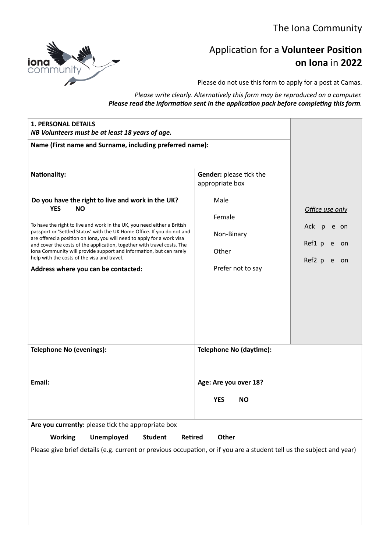

# Application for a **Volunteer Position on Iona** in **2022**

Please do not use this form to apply for a post at Camas.

*Please write clearly. Alternatively this form may be reproduced on a computer. Please read the information sent in the application pack before completing this form.*

| <b>1. PERSONAL DETAILS</b><br>NB Volunteers must be at least 18 years of age.                                                                                                                                                                                                                                                                                                                                                                                                                                                                                               |                                                                                                          |                                                                            |
|-----------------------------------------------------------------------------------------------------------------------------------------------------------------------------------------------------------------------------------------------------------------------------------------------------------------------------------------------------------------------------------------------------------------------------------------------------------------------------------------------------------------------------------------------------------------------------|----------------------------------------------------------------------------------------------------------|----------------------------------------------------------------------------|
| Name (First name and Surname, including preferred name):                                                                                                                                                                                                                                                                                                                                                                                                                                                                                                                    |                                                                                                          |                                                                            |
| <b>Nationality:</b><br>Do you have the right to live and work in the UK?<br><b>YES</b><br><b>NO</b><br>To have the right to live and work in the UK, you need either a British<br>passport or 'Settled Status' with the UK Home Office. If you do not and<br>are offered a position on Iona, you will need to apply for a work visa<br>and cover the costs of the application, together with travel costs. The<br>Iona Community will provide support and information, but can rarely<br>help with the costs of the visa and travel.<br>Address where you can be contacted: | Gender: please tick the<br>appropriate box<br>Male<br>Female<br>Non-Binary<br>Other<br>Prefer not to say | Office use only<br>Ack p<br>e on<br>Ref1 p<br>e<br>on<br>Ref2 p<br>e<br>on |
| <b>Telephone No (evenings):</b>                                                                                                                                                                                                                                                                                                                                                                                                                                                                                                                                             | Telephone No (daytime):                                                                                  |                                                                            |
| Email:                                                                                                                                                                                                                                                                                                                                                                                                                                                                                                                                                                      | Age: Are you over 18?<br><b>YES</b><br><b>NO</b>                                                         |                                                                            |
| Are you currently: please tick the appropriate box                                                                                                                                                                                                                                                                                                                                                                                                                                                                                                                          |                                                                                                          |                                                                            |
| <b>Working</b><br><b>Unemployed</b><br>Other<br><b>Student</b><br>Retired                                                                                                                                                                                                                                                                                                                                                                                                                                                                                                   |                                                                                                          |                                                                            |
| Please give brief details (e.g. current or previous occupation, or if you are a student tell us the subject and year)                                                                                                                                                                                                                                                                                                                                                                                                                                                       |                                                                                                          |                                                                            |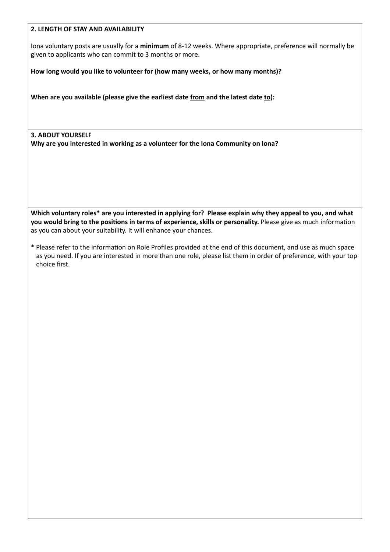# **2. LENGTH OF STAY AND AVAILABILITY**

Iona voluntary posts are usually for a **minimum** of 8-12 weeks. Where appropriate, preference will normally be given to applicants who can commit to 3 months or more.

**How long would you like to volunteer for (how many weeks, or how many months)?** 

**When are you available (please give the earliest date from and the latest date to):**

**3. ABOUT YOURSELF Why are you interested in working as a volunteer for the Iona Community on Iona?**

**Which voluntary roles\* are you interested in applying for? Please explain why they appeal to you, and what you would bring to the positions in terms of experience, skills or personality.** Please give as much information as you can about your suitability. It will enhance your chances.

\* Please refer to the information on Role Profiles provided at the end of this document, and use as much space as you need. If you are interested in more than one role, please list them in order of preference, with your top choice first.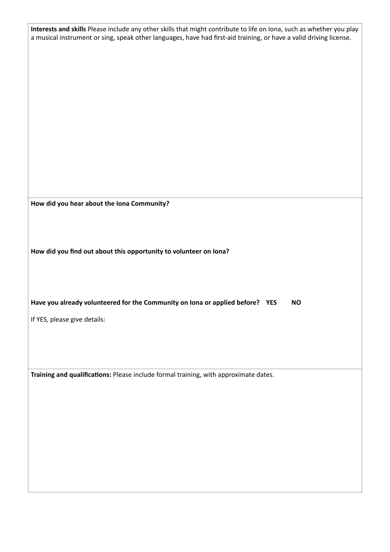**Interests and skills** Please include any other skills that might contribute to life on Iona, such as whether you play a musical instrument or sing, speak other languages, have had first-aid training, or have a valid driving license.

**How did you hear about the Iona Community?**

**How did you find out about this opportunity to volunteer on Iona?**

## **Have you already volunteered for the Community on Iona or applied before? YES NO**

If YES, please give details:

**Training and qualifications:** Please include formal training, with approximate dates.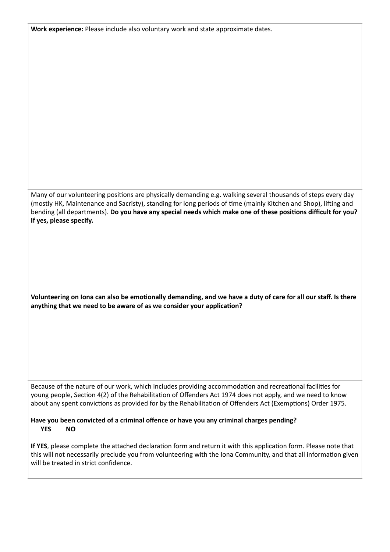**Work experience:** Please include also voluntary work and state approximate dates.

Many of our volunteering positions are physically demanding e.g. walking several thousands of steps every day (mostly HK, Maintenance and Sacristy), standing for long periods of time (mainly Kitchen and Shop), lifting and bending (all departments). **Do you have any special needs which make one of these positions difficult for you? If yes, please specify.** 

**Volunteering on Iona can also be emotionally demanding, and we have a duty of care for all our staff. Is there anything that we need to be aware of as we consider your application?**

Because of the nature of our work, which includes providing accommodation and recreational facilities for young people, Section 4(2) of the Rehabilitation of Offenders Act 1974 does not apply, and we need to know about any spent convictions as provided for by the Rehabilitation of Offenders Act (Exemptions) Order 1975.

#### **Have you been convicted of a criminal offence or have you any criminal charges pending? YES NO**

**If YES**, please complete the attached declaration form and return it with this application form. Please note that this will not necessarily preclude you from volunteering with the Iona Community, and that all information given will be treated in strict confidence.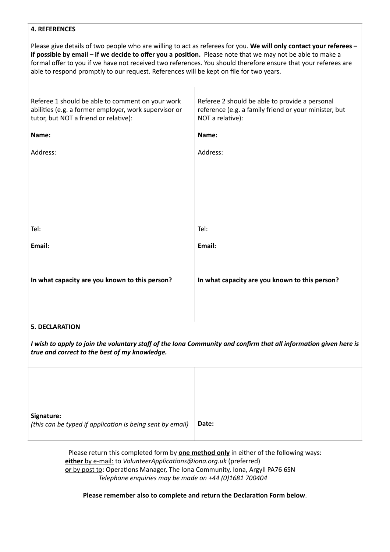# **4. REFERENCES**

Please give details of two people who are willing to act as referees for you. **We will only contact your referees – if possible by email – if we decide to offer you a position.** Please note that we may not be able to make a formal offer to you if we have not received two references. You should therefore ensure that your referees are able to respond promptly to our request. References will be kept on file for two years.

| Referee 1 should be able to comment on your work<br>abilities (e.g. a former employer, work supervisor or<br>tutor, but NOT a friend or relative): | Referee 2 should be able to provide a personal<br>reference (e.g. a family friend or your minister, but<br>NOT a relative): |  |
|----------------------------------------------------------------------------------------------------------------------------------------------------|-----------------------------------------------------------------------------------------------------------------------------|--|
| Name:                                                                                                                                              | Name:                                                                                                                       |  |
| Address:                                                                                                                                           | Address:                                                                                                                    |  |
|                                                                                                                                                    |                                                                                                                             |  |
|                                                                                                                                                    |                                                                                                                             |  |
|                                                                                                                                                    |                                                                                                                             |  |
|                                                                                                                                                    |                                                                                                                             |  |
| Tel:                                                                                                                                               | Tel:                                                                                                                        |  |
| Email:                                                                                                                                             | Email:                                                                                                                      |  |
|                                                                                                                                                    |                                                                                                                             |  |
| In what capacity are you known to this person?                                                                                                     | In what capacity are you known to this person?                                                                              |  |
|                                                                                                                                                    |                                                                                                                             |  |
|                                                                                                                                                    |                                                                                                                             |  |

# **5. DECLARATION**

*I* wish to apply to join the voluntary staff of the Iona Community and confirm that all information given here is *true and correct to the best of my knowledge.*

| Signature:<br>(this can be typed if application is being sent by email) | Date: |
|-------------------------------------------------------------------------|-------|
|                                                                         |       |

Please return this completed form by **one method only** in either of the following ways: **either** by e-mail: to *VolunteerApplications@iona.org.uk* (preferred) **or** by post to: Operations Manager, The Iona Community, Iona, Argyll PA76 6SN *Telephone enquiries may be made on +44 (0)1681 700404*

**Please remember also to complete and return the Declaration Form below**.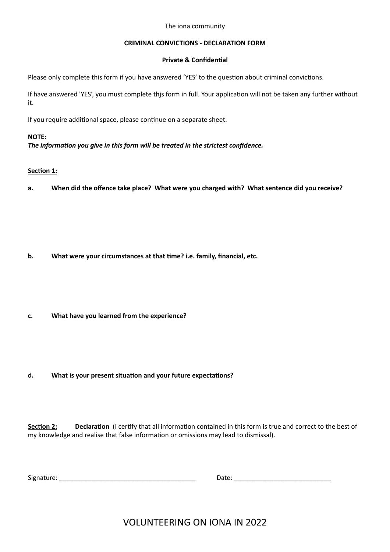#### The iona community

# **CRIMINAL CONVICTIONS - DECLARATION FORM**

# **Private & Confidential**

Please only complete this form if you have answered 'YES' to the question about criminal convictions.

If have answered 'YES', you must complete thjs form in full. Your application will not be taken any further without it.

If you require additional space, please continue on a separate sheet.

# **NOTE:**

*The information you give in this form will be treated in the strictest confidence.*

# **Section 1:**

**a. When did the offence take place? What were you charged with? What sentence did you receive?**

- **b. What were your circumstances at that time? i.e. family, financial, etc.**
- **c. What have you learned from the experience?**

# **d. What is your present situation and your future expectations?**

**Section 2: Declaration** (I certify that all information contained in this form is true and correct to the best of my knowledge and realise that false information or omissions may lead to dismissal).

Signature: \_\_\_\_\_\_\_\_\_\_\_\_\_\_\_\_\_\_\_\_\_\_\_\_\_\_\_\_\_\_\_\_\_\_\_\_\_\_ Date: \_\_\_\_\_\_\_\_\_\_\_\_\_\_\_\_\_\_\_\_\_\_\_\_\_\_\_

VOLUNTEERING ON IONA IN 2022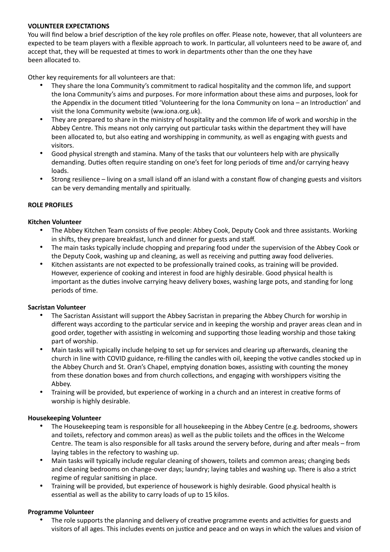# **VOLUNTEER EXPECTATIONS**

You will find below a brief description of the key role profiles on offer. Please note, however, that all volunteers are expected to be team players with a flexible approach to work. In particular, all volunteers need to be aware of, and accept that, they will be requested at times to work in departments other than the one they have been allocated to.

Other key requirements for all volunteers are that:

- They share the Iona Community's commitment to radical hospitality and the common life, and support the Iona Community's aims and purposes. For more information about these aims and purposes, look for the Appendix in the document titled 'Volunteering for the Iona Community on Iona – an Introduction' and visit the Iona Community website (ww.iona.org.uk).
- They are prepared to share in the ministry of hospitality and the common life of work and worship in the Abbey Centre. This means not only carrying out particular tasks within the department they will have been allocated to, but also eating and worshipping in community, as well as engaging with guests and visitors.
- Good physical strength and stamina. Many of the tasks that our volunteers help with are physically demanding. Duties often require standing on one's feet for long periods of time and/or carrying heavy loads.
- Strong resilience living on a small island off an island with a constant flow of changing guests and visitors can be very demanding mentally and spiritually.

# **ROLE PROFILES**

# **Kitchen Volunteer**

- The Abbey Kitchen Team consists of five people: Abbey Cook, Deputy Cook and three assistants. Working in shifts, they prepare breakfast, lunch and dinner for guests and staff.
- The main tasks typically include chopping and preparing food under the supervision of the Abbey Cook or the Deputy Cook, washing up and cleaning, as well as receiving and putting away food deliveries.
- Kitchen assistants are not expected to be professionally trained cooks, as training will be provided. However, experience of cooking and interest in food are highly desirable. Good physical health is important as the duties involve carrying heavy delivery boxes, washing large pots, and standing for long periods of time.

### **Sacristan Volunteer**

- The Sacristan Assistant will support the Abbey Sacristan in preparing the Abbey Church for worship in different ways according to the particular service and in keeping the worship and prayer areas clean and in good order, together with assisting in welcoming and supporting those leading worship and those taking part of worship.
- Main tasks will typically include helping to set up for services and clearing up afterwards, cleaning the church in line with COVID guidance, re-filling the candles with oil, keeping the votive candles stocked up in the Abbey Church and St. Oran's Chapel, emptying donation boxes, assisting with counting the money from these donation boxes and from church collections, and engaging with worshippers visiting the Abbey.
- Training will be provided, but experience of working in a church and an interest in creative forms of worship is highly desirable.

# **Housekeeping Volunteer**

- The Housekeeping team is responsible for all housekeeping in the Abbey Centre (e.g. bedrooms, showers and toilets, refectory and common areas) as well as the public toilets and the offices in the Welcome Centre. The team is also responsible for all tasks around the servery before, during and after meals – from laying tables in the refectory to washing up.
- Main tasks will typically include regular cleaning of showers, toilets and common areas; changing beds and cleaning bedrooms on change-over days; laundry; laying tables and washing up. There is also a strict regime of regular sanitising in place.
- Training will be provided, but experience of housework is highly desirable. Good physical health is essential as well as the ability to carry loads of up to 15 kilos.

### **Programme Volunteer**

• The role supports the planning and delivery of creative programme events and activities for guests and visitors of all ages. This includes events on justice and peace and on ways in which the values and vision of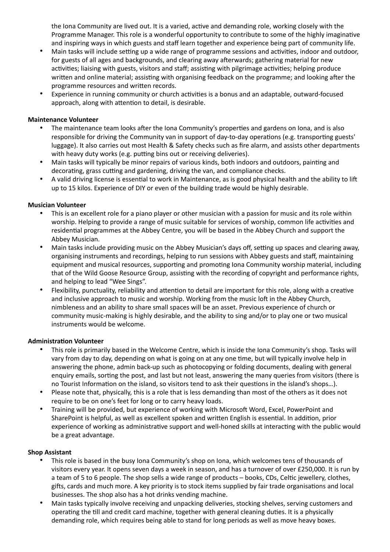the Iona Community are lived out. It is a varied, active and demanding role, working closely with the Programme Manager. This role is a wonderful opportunity to contribute to some of the highly imaginative and inspiring ways in which guests and staff learn together and experience being part of community life.

- Main tasks will include setting up a wide range of programme sessions and activities, indoor and outdoor, for guests of all ages and backgrounds, and clearing away afterwards; gathering material for new activities; liaising with guests, visitors and staff; assisting with pilgrimage activities; helping produce written and online material; assisting with organising feedback on the programme; and looking after the programme resources and written records.
- Experience in running community or church activities is a bonus and an adaptable, outward-focused approach, along with attention to detail, is desirable.

# **Maintenance Volunteer**

- The maintenance team looks after the Iona Community's properties and gardens on Iona, and is also responsible for driving the Community van in support of day-to-day operations (e.g. transporting guests' luggage). It also carries out most Health & Safety checks such as fire alarm, and assists other departments with heavy duty works (e.g. putting bins out or receiving deliveries).
- Main tasks will typically be minor repairs of various kinds, both indoors and outdoors, painting and decorating, grass cutting and gardening, driving the van, and compliance checks.
- A valid driving license is essential to work in Maintenance, as is good physical health and the ability to lift up to 15 kilos. Experience of DIY or even of the building trade would be highly desirable.

### **Musician Volunteer**

- This is an excellent role for a piano player or other musician with a passion for music and its role within worship. Helping to provide a range of music suitable for services of worship, common life activities and residential programmes at the Abbey Centre, you will be based in the Abbey Church and support the Abbey Musician.
- Main tasks include providing music on the Abbey Musician's days off, setting up spaces and clearing away, organising instruments and recordings, helping to run sessions with Abbey guests and staff, maintaining equipment and musical resources, supporting and promoting Iona Community worship material, including that of the Wild Goose Resource Group, assisting with the recording of copyright and performance rights, and helping to lead "Wee Sings".
- Flexibility, punctuality, reliability and attention to detail are important for this role, along with a creative and inclusive approach to music and worship. Working from the music loft in the Abbey Church, nimbleness and an ability to share small spaces will be an asset. Previous experience of church or community music-making is highly desirable, and the ability to sing and/or to play one or two musical instruments would be welcome.

### **Administration Volunteer**

- This role is primarily based in the Welcome Centre, which is inside the Iona Community's shop. Tasks will vary from day to day, depending on what is going on at any one time, but will typically involve help in answering the phone, admin back-up such as photocopying or folding documents, dealing with general enquiry emails, sorting the post, and last but not least, answering the many queries from visitors (there is no Tourist Information on the island, so visitors tend to ask their questions in the island's shops…).
- Please note that, physically, this is a role that is less demanding than most of the others as it does not require to be on one's feet for long or to carry heavy loads.
- Training will be provided, but experience of working with Microsoft Word, Excel, PowerPoint and SharePoint is helpful, as well as excellent spoken and written English is essential. In addition, prior experience of working as administrative support and well-honed skills at interacting with the public would be a great advantage.

### **Shop Assistant**

- This role is based in the busy Iona Community's shop on Iona, which welcomes tens of thousands of visitors every year. It opens seven days a week in season, and has a turnover of over £250,000. It is run by a team of 5 to 6 people. The shop sells a wide range of products – books, CDs, Celtic jewellery, clothes, gifts, cards and much more. A key priority is to stock items supplied by fair trade organisations and local businesses. The shop also has a hot drinks vending machine.
- Main tasks typically involve receiving and unpacking deliveries, stocking shelves, serving customers and operating the till and credit card machine, together with general cleaning duties. It is a physically demanding role, which requires being able to stand for long periods as well as move heavy boxes.